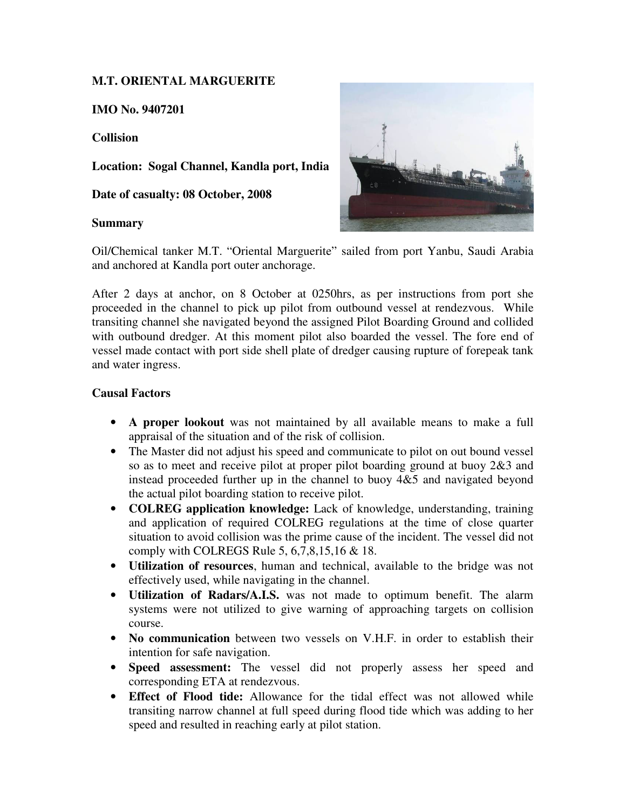# **M.T. ORIENTAL MARGUERITE**

**IMO No. 9407201** 

## **Collision**

**Location: Sogal Channel, Kandla port, India** 

**Date of casualty: 08 October, 2008** 

### **Summary**



Oil/Chemical tanker M.T. "Oriental Marguerite" sailed from port Yanbu, Saudi Arabia and anchored at Kandla port outer anchorage.

After 2 days at anchor, on 8 October at 0250hrs, as per instructions from port she proceeded in the channel to pick up pilot from outbound vessel at rendezvous. While transiting channel she navigated beyond the assigned Pilot Boarding Ground and collided with outbound dredger. At this moment pilot also boarded the vessel. The fore end of vessel made contact with port side shell plate of dredger causing rupture of forepeak tank and water ingress.

## **Causal Factors**

- **A proper lookout** was not maintained by all available means to make a full appraisal of the situation and of the risk of collision.
- The Master did not adjust his speed and communicate to pilot on out bound vessel so as to meet and receive pilot at proper pilot boarding ground at buoy 2&3 and instead proceeded further up in the channel to buoy 4&5 and navigated beyond the actual pilot boarding station to receive pilot.
- **COLREG application knowledge:** Lack of knowledge, understanding, training and application of required COLREG regulations at the time of close quarter situation to avoid collision was the prime cause of the incident. The vessel did not comply with COLREGS Rule 5, 6,7,8,15,16 & 18.
- **Utilization of resources**, human and technical, available to the bridge was not effectively used, while navigating in the channel.
- **Utilization of Radars/A.I.S.** was not made to optimum benefit. The alarm systems were not utilized to give warning of approaching targets on collision course.
- **No communication** between two vessels on V.H.F. in order to establish their intention for safe navigation.
- **Speed assessment:** The vessel did not properly assess her speed and corresponding ETA at rendezvous.
- **Effect of Flood tide:** Allowance for the tidal effect was not allowed while transiting narrow channel at full speed during flood tide which was adding to her speed and resulted in reaching early at pilot station.